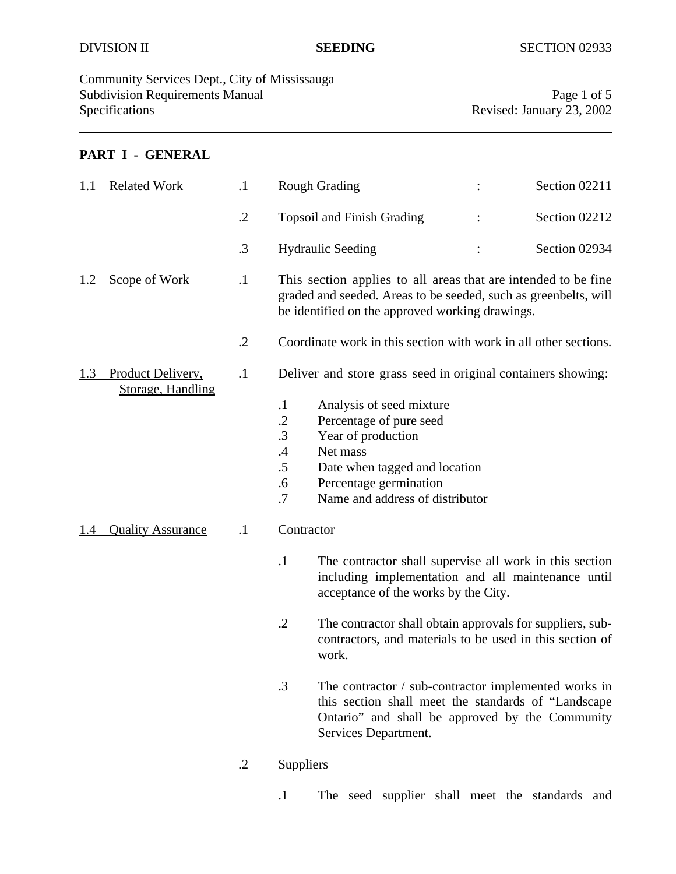Community Services Dept., City of Mississauga Subdivision Requirements Manual Page 1 of 5<br>Specifications Revised: January 23, 2002

Revised: January 23, 2002

# **PART I - GENERAL**

| 1.1 | <b>Related Work</b>                    | $\cdot$    |                                                             | <b>Rough Grading</b>                                                                                                                                                                    |  | Section 02211 |
|-----|----------------------------------------|------------|-------------------------------------------------------------|-----------------------------------------------------------------------------------------------------------------------------------------------------------------------------------------|--|---------------|
|     |                                        | $\cdot$    |                                                             | <b>Topsoil and Finish Grading</b>                                                                                                                                                       |  | Section 02212 |
|     |                                        | .3         |                                                             | <b>Hydraulic Seeding</b>                                                                                                                                                                |  | Section 02934 |
|     | <b>Scope of Work</b>                   | $\cdot$    |                                                             | This section applies to all areas that are intended to be fine<br>graded and seeded. Areas to be seeded, such as greenbelts, will<br>be identified on the approved working drawings.    |  |               |
|     |                                        | $\cdot$ .2 |                                                             | Coordinate work in this section with work in all other sections.                                                                                                                        |  |               |
| 1.3 | Product Delivery,<br>Storage, Handling | $\cdot$    |                                                             | Deliver and store grass seed in original containers showing:                                                                                                                            |  |               |
|     |                                        |            | $\cdot$<br>$\cdot$<br>.3<br>$\mathcal{A}$<br>.5<br>.6<br>.7 | Analysis of seed mixture<br>Percentage of pure seed<br>Year of production<br>Net mass<br>Date when tagged and location<br>Percentage germination<br>Name and address of distributor     |  |               |
| 1.4 | <b>Quality Assurance</b>               | $\cdot$    | Contractor                                                  |                                                                                                                                                                                         |  |               |
|     |                                        |            | $\cdot$ 1                                                   | The contractor shall supervise all work in this section<br>including implementation and all maintenance until<br>acceptance of the works by the City.                                   |  |               |
|     |                                        |            | $\cdot$ .2                                                  | The contractor shall obtain approvals for suppliers, sub-<br>contractors, and materials to be used in this section of<br>work.                                                          |  |               |
|     |                                        |            | $\cdot$ 3                                                   | The contractor / sub-contractor implemented works in<br>this section shall meet the standards of "Landscape"<br>Ontario" and shall be approved by the Community<br>Services Department. |  |               |
|     |                                        |            |                                                             |                                                                                                                                                                                         |  |               |

.2 Suppliers

.1 The seed supplier shall meet the standards and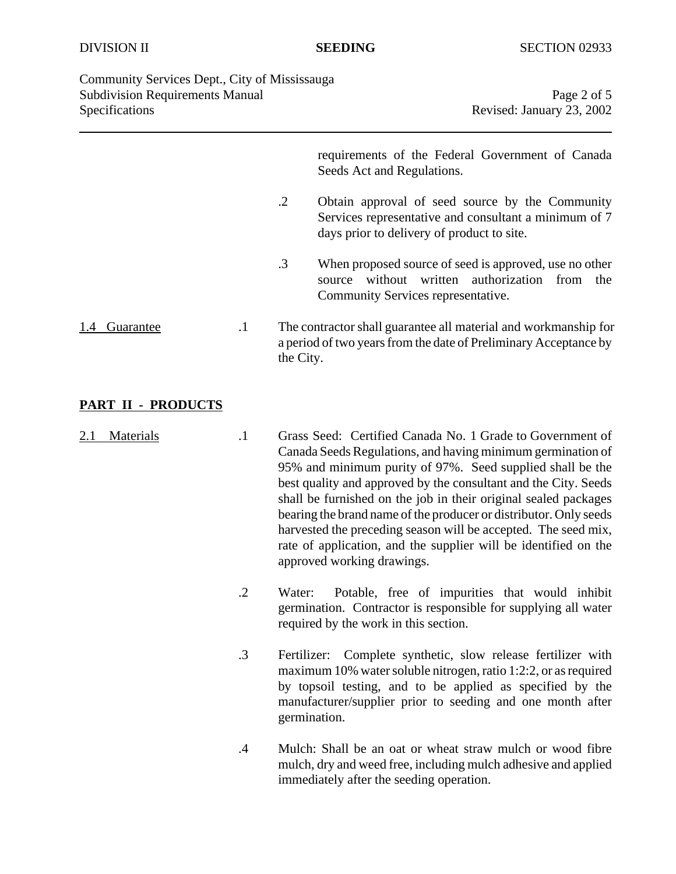| Community Services Dept., City of Mississauga |                           |
|-----------------------------------------------|---------------------------|
| <b>Subdivision Requirements Manual</b>        | Page 2 of 5               |
| Specifications                                | Revised: January 23, 2002 |

requirements of the Federal Government of Canada Seeds Act and Regulations.

- .2 Obtain approval of seed source by the Community Services representative and consultant a minimum of 7 days prior to delivery of product to site.
- .3 When proposed source of seed is approved, use no other source without written authorization from the Community Services representative.

1.4 Guarantee .1 The contractor shall guarantee all material and workmanship for a period of two years from the date of Preliminary Acceptance by the City.

# **PART II - PRODUCTS**

- 2.1 Materials .1 Grass Seed: Certified Canada No. 1 Grade to Government of Canada Seeds Regulations, and having minimum germination of 95% and minimum purity of 97%. Seed supplied shall be the best quality and approved by the consultant and the City. Seeds shall be furnished on the job in their original sealed packages bearing the brand name of the producer or distributor. Only seeds harvested the preceding season will be accepted. The seed mix, rate of application, and the supplier will be identified on the approved working drawings.
	- .2 Water: Potable, free of impurities that would inhibit germination. Contractor is responsible for supplying all water required by the work in this section.
	- .3 Fertilizer: Complete synthetic, slow release fertilizer with maximum 10% water soluble nitrogen, ratio 1:2:2, or as required by topsoil testing, and to be applied as specified by the manufacturer/supplier prior to seeding and one month after germination.
	- .4 Mulch: Shall be an oat or wheat straw mulch or wood fibre mulch, dry and weed free, including mulch adhesive and applied immediately after the seeding operation.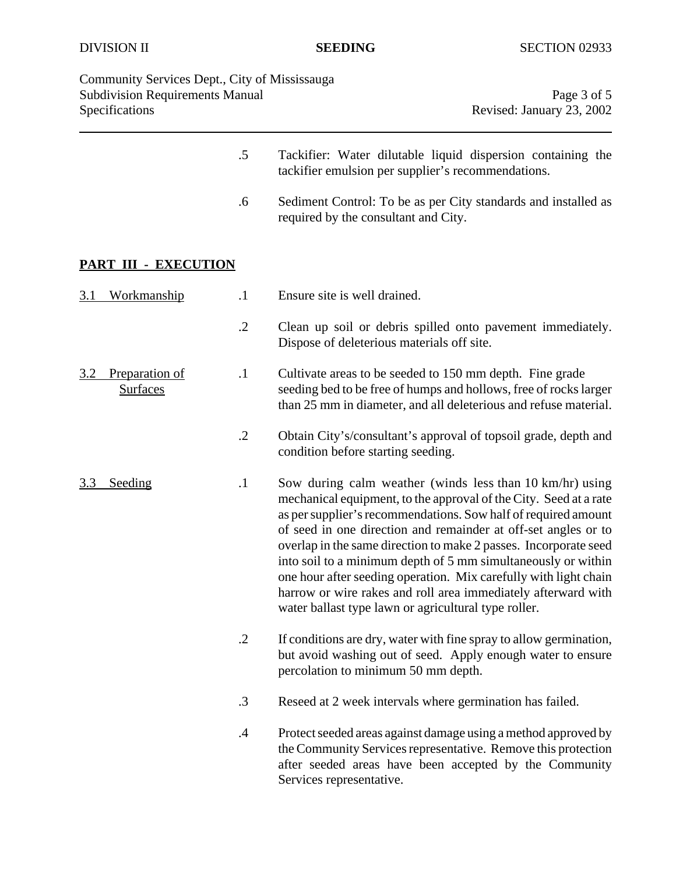| Community Services Dept., City of Mississauga<br><b>Subdivision Requirements Manual</b><br>Specifications |            | Page 3 of 5<br>Revised: January 23, 2002                                                                                                                                                                                                                                                                                                                                                                                                                                                                                                                                                            |
|-----------------------------------------------------------------------------------------------------------|------------|-----------------------------------------------------------------------------------------------------------------------------------------------------------------------------------------------------------------------------------------------------------------------------------------------------------------------------------------------------------------------------------------------------------------------------------------------------------------------------------------------------------------------------------------------------------------------------------------------------|
|                                                                                                           | $.5\,$     | Tackifier: Water dilutable liquid dispersion containing the<br>tackifier emulsion per supplier's recommendations.                                                                                                                                                                                                                                                                                                                                                                                                                                                                                   |
|                                                                                                           | .6         | Sediment Control: To be as per City standards and installed as<br>required by the consultant and City.                                                                                                                                                                                                                                                                                                                                                                                                                                                                                              |
| PART III - EXECUTION                                                                                      |            |                                                                                                                                                                                                                                                                                                                                                                                                                                                                                                                                                                                                     |
| <u>Workmanship</u><br>3.1                                                                                 | $\cdot$ 1  | Ensure site is well drained.                                                                                                                                                                                                                                                                                                                                                                                                                                                                                                                                                                        |
|                                                                                                           | $\cdot$ .2 | Clean up soil or debris spilled onto pavement immediately.<br>Dispose of deleterious materials off site.                                                                                                                                                                                                                                                                                                                                                                                                                                                                                            |
| Preparation of<br>3.2<br><b>Surfaces</b>                                                                  | $\cdot$ 1  | Cultivate areas to be seeded to 150 mm depth. Fine grade<br>seeding bed to be free of humps and hollows, free of rocks larger<br>than 25 mm in diameter, and all deleterious and refuse material.                                                                                                                                                                                                                                                                                                                                                                                                   |
|                                                                                                           | $\cdot$ .2 | Obtain City's/consultant's approval of topsoil grade, depth and<br>condition before starting seeding.                                                                                                                                                                                                                                                                                                                                                                                                                                                                                               |
| Seeding<br>3.3                                                                                            | $\cdot$    | Sow during calm weather (winds less than 10 km/hr) using<br>mechanical equipment, to the approval of the City. Seed at a rate<br>as per supplier's recommendations. Sow half of required amount<br>of seed in one direction and remainder at off-set angles or to<br>overlap in the same direction to make 2 passes. Incorporate seed<br>into soil to a minimum depth of 5 mm simultaneously or within<br>one hour after seeding operation. Mix carefully with light chain<br>harrow or wire rakes and roll area immediately afterward with<br>water ballast type lawn or agricultural type roller. |
|                                                                                                           | $\cdot$ .2 | If conditions are dry, water with fine spray to allow germination,<br>but avoid washing out of seed. Apply enough water to ensure<br>percolation to minimum 50 mm depth.                                                                                                                                                                                                                                                                                                                                                                                                                            |
|                                                                                                           | $\cdot$ 3  | Reseed at 2 week intervals where germination has failed.                                                                                                                                                                                                                                                                                                                                                                                                                                                                                                                                            |
|                                                                                                           | $.4\,$     | Protect seeded areas against damage using a method approved by<br>the Community Services representative. Remove this protection<br>after seeded areas have been accepted by the Community<br>Services representative.                                                                                                                                                                                                                                                                                                                                                                               |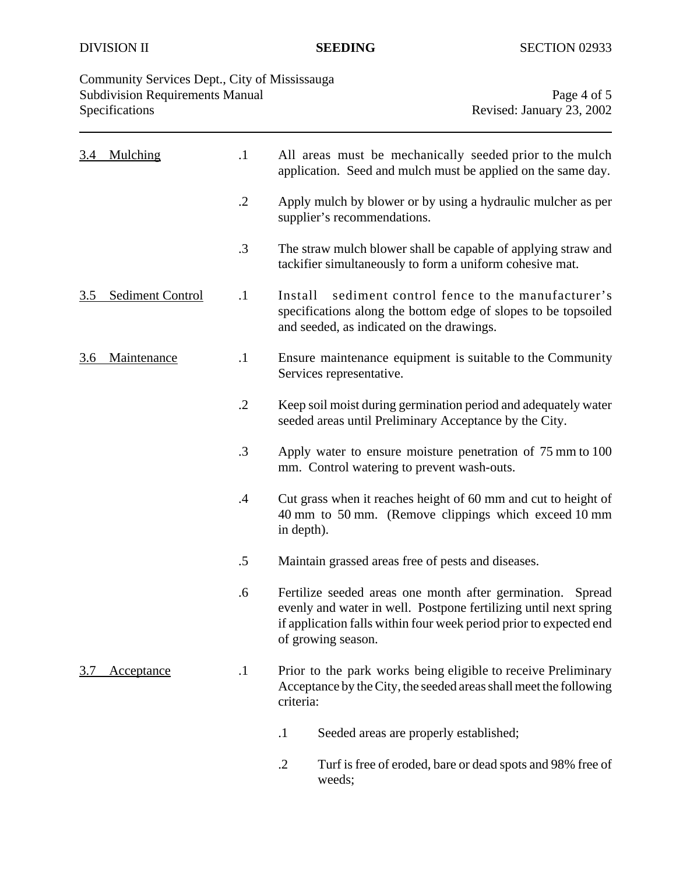| Community Services Dept., City of Mississauga |                           |
|-----------------------------------------------|---------------------------|
| <b>Subdivision Requirements Manual</b>        | Page 4 of 5               |
| Specifications                                | Revised: January 23, 2002 |
|                                               |                           |

| 3.4        | Mulching                       | $\cdot$ 1     | All areas must be mechanically seeded prior to the mulch<br>application. Seed and mulch must be applied on the same day.                                                                                                      |  |
|------------|--------------------------------|---------------|-------------------------------------------------------------------------------------------------------------------------------------------------------------------------------------------------------------------------------|--|
|            |                                | $\cdot$ .2    | Apply mulch by blower or by using a hydraulic mulcher as per<br>supplier's recommendations.                                                                                                                                   |  |
|            |                                | $\cdot$ 3     | The straw mulch blower shall be capable of applying straw and<br>tackifier simultaneously to form a uniform cohesive mat.                                                                                                     |  |
| 3.5        | <b>Sediment Control</b>        | $\cdot$ 1     | sediment control fence to the manufacturer's<br>Install<br>specifications along the bottom edge of slopes to be topsoiled<br>and seeded, as indicated on the drawings.                                                        |  |
| <u>3.6</u> | Maintenance                    | $\cdot$       | Ensure maintenance equipment is suitable to the Community<br>Services representative.                                                                                                                                         |  |
|            |                                | $\cdot$ .2    | Keep soil moist during germination period and adequately water<br>seeded areas until Preliminary Acceptance by the City.                                                                                                      |  |
|            |                                | $\cdot$ 3     | Apply water to ensure moisture penetration of 75 mm to 100<br>mm. Control watering to prevent wash-outs.                                                                                                                      |  |
|            |                                | $\mathcal{A}$ | Cut grass when it reaches height of 60 mm and cut to height of<br>40 mm to 50 mm. (Remove clippings which exceed 10 mm<br>in depth).                                                                                          |  |
|            |                                | $.5\,$        | Maintain grassed areas free of pests and diseases.                                                                                                                                                                            |  |
|            |                                | .6            | Fertilize seeded areas one month after germination.<br>Spread<br>evenly and water in well. Postpone fertilizing until next spring<br>if application falls within four week period prior to expected end<br>of growing season. |  |
| 3.7        | $\cdot$ 1<br><b>Acceptance</b> |               | Prior to the park works being eligible to receive Preliminary<br>Acceptance by the City, the seeded areas shall meet the following<br>criteria:                                                                               |  |
|            |                                |               | $\cdot$<br>Seeded areas are properly established;                                                                                                                                                                             |  |
|            |                                |               | $\cdot$ .2<br>Turf is free of eroded, bare or dead spots and 98% free of<br>weeds;                                                                                                                                            |  |